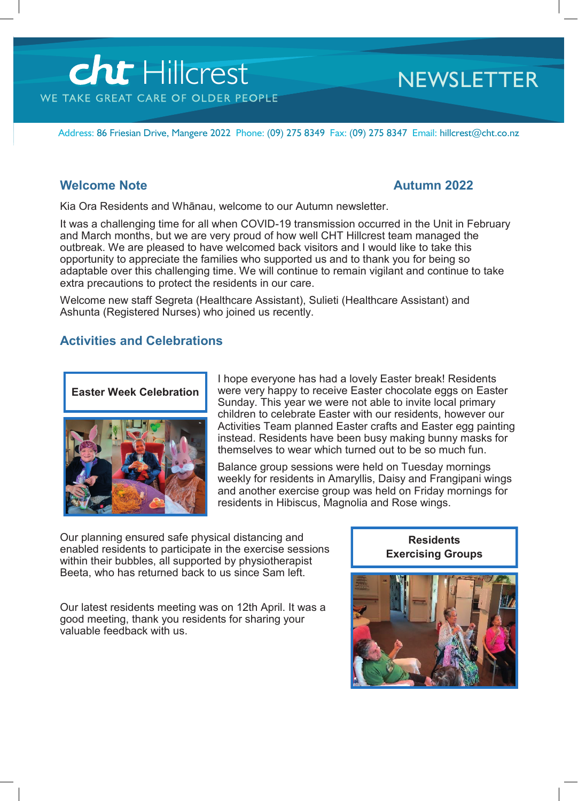# Cht Hillcrest

### **NEWSLETTER**

Address: 86 Friesian Drive, Mangere 2022 Phone: (09) 275 8349 Fax: (09) 275 8347 Email: hillcrest@cht.co.nz

### **Welcome Note Autumn 2022**

Kia Ora Residents and Whānau, welcome to our Autumn newsletter.

It was a challenging time for all when COVID-19 transmission occurred in the Unit in February and March months, but we are very proud of how well CHT Hillcrest team managed the outbreak. We are pleased to have welcomed back visitors and I would like to take this opportunity to appreciate the families who supported us and to thank you for being so adaptable over this challenging time. We will continue to remain vigilant and continue to take extra precautions to protect the residents in our care.

Welcome new staff Segreta (Healthcare Assistant), Sulieti (Healthcare Assistant) and Ashunta (Registered Nurses) who joined us recently.

### **Activities and Celebrations**

### **Easter Week Celebration**



I hope everyone has had a lovely Easter break! Residents were very happy to receive Easter chocolate eggs on Easter Sunday. This year we were not able to invite local primary children to celebrate Easter with our residents, however our Activities Team planned Easter crafts and Easter egg painting instead. Residents have been busy making bunny masks for themselves to wear which turned out to be so much fun.

Balance group sessions were held on Tuesday mornings weekly for residents in Amaryllis, Daisy and Frangipani wings and another exercise group was held on Friday mornings for residents in Hibiscus, Magnolia and Rose wings.

Our planning ensured safe physical distancing and enabled residents to participate in the exercise sessions within their bubbles, all supported by physiotherapist Beeta, who has returned back to us since Sam left.

Our latest residents meeting was on 12th April. It was a good meeting, thank you residents for sharing your valuable feedback with us.

**Residents Exercising Groups**